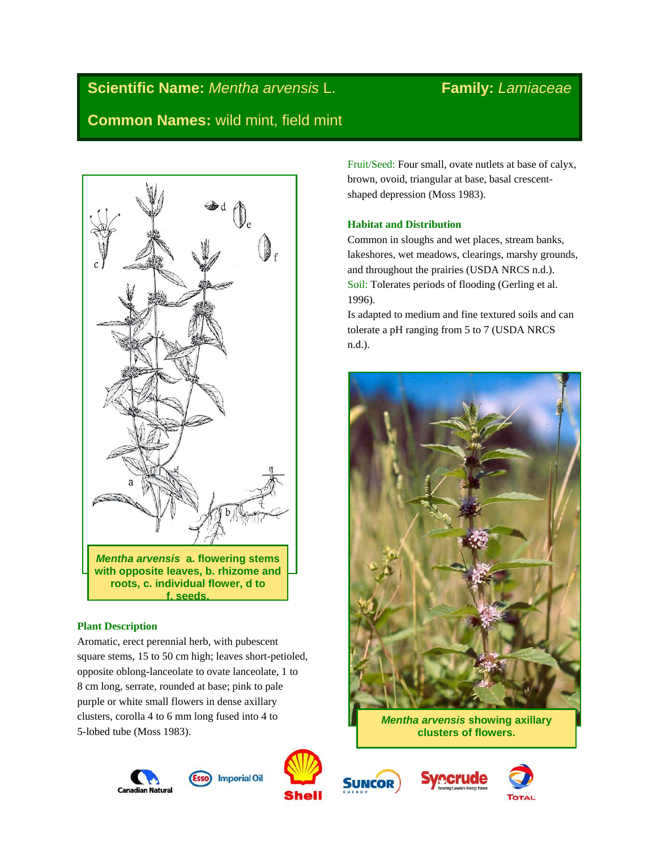# **Scientific Name:** *Mentha arvensis* L. **Family:** *Lamiaceae* **Common Names:** wild mint, field mint



# **Plant Description**

Aromatic, erect perennial herb, with pubescent square stems, 15 to 50 cm high; leaves short-petioled, opposite oblong-lanceolate to ovate lanceolate, 1 to 8 cm long, serrate, rounded at base; pink to pale purple or white small flowers in dense axillary clusters, corolla 4 to 6 mm long fused into 4 to 5-lobed tube (Moss 1983).











Fruit/Seed: Four small, ovate nutlets at base of calyx, brown, ovoid, triangular at base, basal crescentshaped depression (Moss 1983).

# **Habitat and Distribution**

Common in sloughs and wet places, stream banks, lakeshores, wet meadows, clearings, marshy grounds, and throughout the prairies (USDA NRCS n.d.). Soil: Tolerates periods of flooding (Gerling et al. 1996).

Is adapted to medium and fine textured soils and can tolerate a pH ranging from 5 to 7 (USDA NRCS n.d.).



*Mentha arvensis* **showing axillary clusters of flowers.**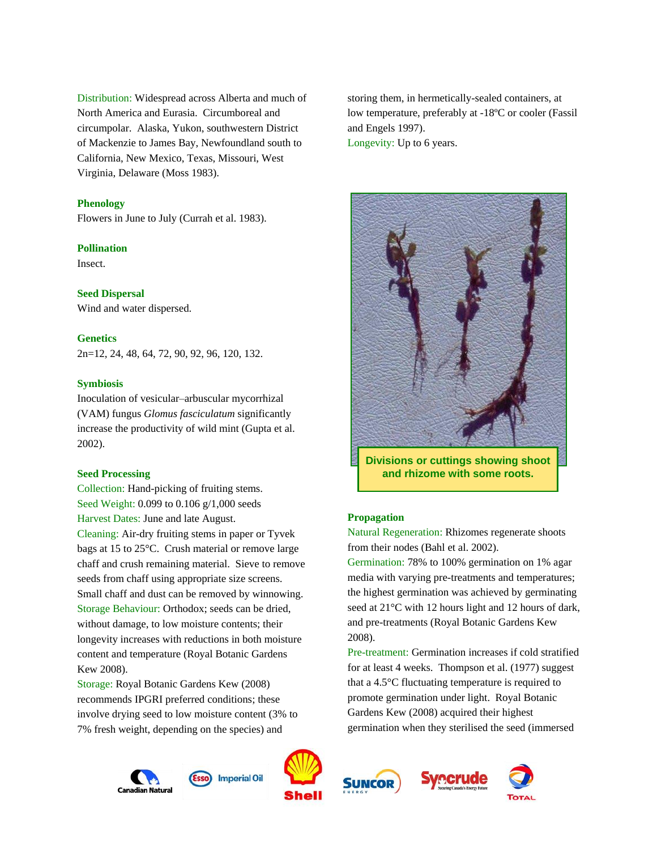Distribution: Widespread across Alberta and much of North America and Eurasia. Circumboreal and circumpolar. Alaska, Yukon, southwestern District of Mackenzie to James Bay, Newfoundland south to California, New Mexico, Texas, Missouri, West Virginia, Delaware (Moss 1983).

#### **Phenology**

Flowers in June to July (Currah et al. 1983).

#### **Pollination**

Insect.

#### **Seed Dispersal**

Wind and water dispersed.

#### **Genetics**

2n=12, 24, 48, 64, 72, 90, 92, 96, 120, 132.

#### **Symbiosis**

Inoculation of vesicular–arbuscular mycorrhizal (VAM) fungus *Glomus fasciculatum* significantly increase the productivity of wild mint (Gupta et al. 2002).

#### **Seed Processing**

Collection: Hand-picking of fruiting stems. Seed Weight: 0.099 to 0.106 g/1,000 seeds Harvest Dates: June and late August. Cleaning: Air-dry fruiting stems in paper or Tyvek bags at 15 to 25°C. Crush material or remove large chaff and crush remaining material. Sieve to remove seeds from chaff using appropriate size screens. Small chaff and dust can be removed by winnowing. Storage Behaviour: Orthodox; seeds can be dried, without damage, to low moisture contents; their longevity increases with reductions in both moisture content and temperature (Royal Botanic Gardens Kew 2008).

Storage: Royal Botanic Gardens Kew (2008) recommends IPGRI preferred conditions; these involve drying seed to low moisture content (3% to 7% fresh weight, depending on the species) and

Canadian Natura





storing them, in hermetically-sealed containers, at low temperature, preferably at -18ºC or cooler (Fassil and Engels 1997). Longevity: Up to 6 years.



**Divisions or cuttings showing shoot and rhizome with some roots.**

#### **Propagation**

Natural Regeneration: Rhizomes regenerate shoots from their nodes (Bahl et al. 2002).

Germination: 78% to 100% germination on 1% agar media with varying pre-treatments and temperatures; the highest germination was achieved by germinating seed at 21°C with 12 hours light and 12 hours of dark, and pre-treatments (Royal Botanic Gardens Kew 2008).

Pre-treatment: Germination increases if cold stratified for at least 4 weeks. Thompson et al. (1977) suggest that a 4.5°C fluctuating temperature is required to promote germination under light. Royal Botanic Gardens Kew (2008) acquired their highest germination when they sterilised the seed (immersed







**Imperial Oil**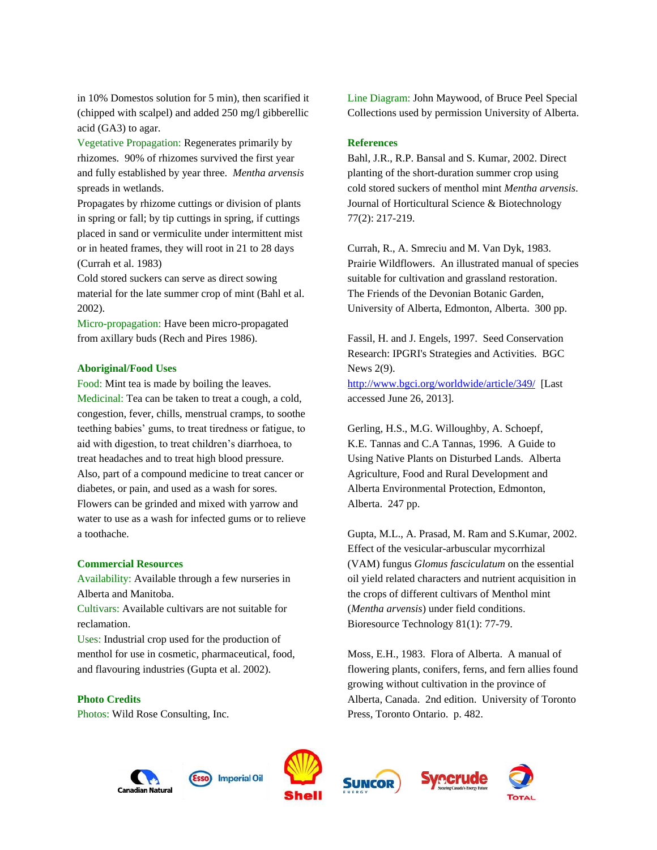in 10% Domestos solution for 5 min), then scarified it (chipped with scalpel) and added 250 mg/l gibberellic acid (GA3) to agar.

Vegetative Propagation: Regenerates primarily by rhizomes. 90% of rhizomes survived the first year and fully established by year three. *Mentha arvensis* spreads in wetlands.

Propagates by rhizome cuttings or division of plants in spring or fall; by tip cuttings in spring, if cuttings placed in sand or vermiculite under intermittent mist or in heated frames, they will root in 21 to 28 days (Currah et al. 1983)

Cold stored suckers can serve as direct sowing material for the late summer crop of mint (Bahl et al. 2002).

Micro-propagation: Have been micro-propagated from axillary buds (Rech and Pires 1986).

#### **Aboriginal/Food Uses**

Food: Mint tea is made by boiling the leaves. Medicinal: Tea can be taken to treat a cough, a cold, congestion, fever, chills, menstrual cramps, to soothe teething babies' gums, to treat tiredness or fatigue, to aid with digestion, to treat children's diarrhoea, to treat headaches and to treat high blood pressure. Also, part of a compound medicine to treat cancer or diabetes, or pain, and used as a wash for sores. Flowers can be grinded and mixed with yarrow and water to use as a wash for infected gums or to relieve a toothache.

#### **Commercial Resources**

Availability: Available through a few nurseries in Alberta and Manitoba.

Cultivars: Available cultivars are not suitable for reclamation.

Uses: Industrial crop used for the production of menthol for use in cosmetic, pharmaceutical, food, and flavouring industries (Gupta et al. 2002).

#### **Photo Credits**

Photos: Wild Rose Consulting, Inc.

Line Diagram: John Maywood, of Bruce Peel Special Collections used by permission University of Alberta.

### **References**

Bahl, J.R., R.P. Bansal and S. Kumar, 2002. Direct planting of the short-duration summer crop using cold stored suckers of menthol mint *Mentha arvensis*. Journal of Horticultural Science & Biotechnology 77(2): 217-219.

Currah, R., A. Smreciu and M. Van Dyk, 1983. Prairie Wildflowers. An illustrated manual of species suitable for cultivation and grassland restoration. The Friends of the Devonian Botanic Garden, University of Alberta, Edmonton, Alberta. 300 pp.

Fassil, H. and J. Engels, 1997. Seed Conservation Research: IPGRI's Strategies and Activities. BGC News 2(9).

<http://www.bgci.org/worldwide/article/349/>[Last accessed June 26, 2013].

Gerling, H.S., M.G. Willoughby, A. Schoepf, K.E. Tannas and C.A Tannas, 1996. A Guide to Using Native Plants on Disturbed Lands. Alberta Agriculture, Food and Rural Development and Alberta Environmental Protection, Edmonton, Alberta. 247 pp.

Gupta, M.L., A. Prasad, M. Ram and S.Kumar, 2002. Effect of the vesicular-arbuscular mycorrhizal (VAM) fungus *Glomus fasciculatum* on the essential oil yield related characters and nutrient acquisition in the crops of different cultivars of Menthol mint (*Mentha arvensis*) under field conditions. Bioresource Technology 81(1): 77-79.

Moss, E.H., 1983. Flora of Alberta. A manual of flowering plants, conifers, ferns, and fern allies found growing without cultivation in the province of Alberta, Canada. 2nd edition. University of Toronto Press, Toronto Ontario. p. 482.